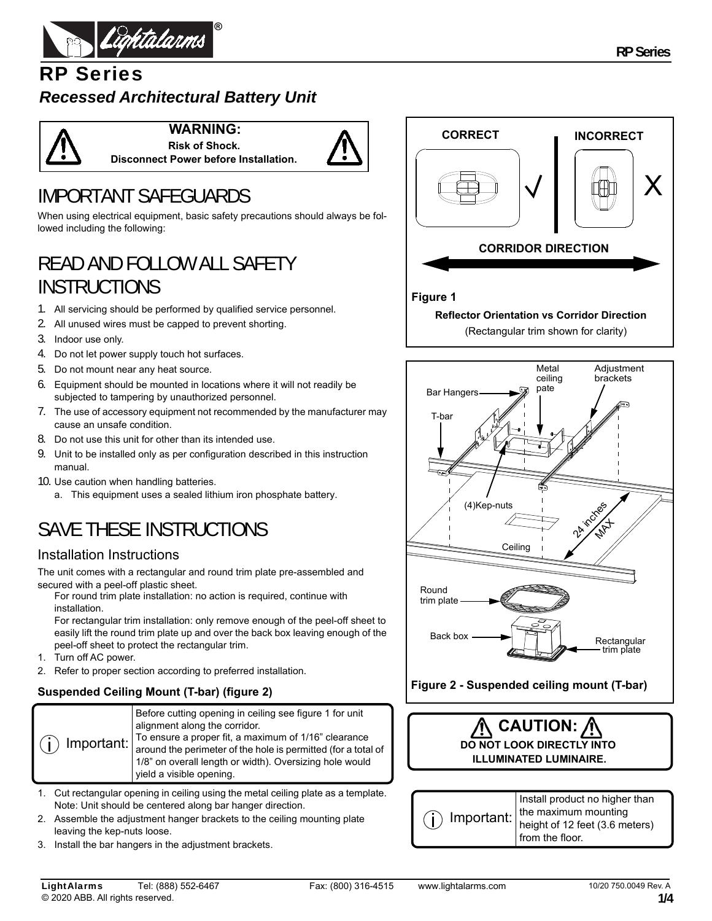

## RP Series *Recessed Architectural Battery Unit*

**WARNING: Risk of Shock. Disconnect Power before Installation.**



# IMPORTANT SAFEGUARDS

When using electrical equipment, basic safety precautions should always be followed including the following:

# READ AND FOLLOW ALL SAFETY **INSTRUCTIONS**

- 1. All servicing should be performed by qualified service personnel.
- 2. All unused wires must be capped to prevent shorting.
- 3. Indoor use only.
- 4. Do not let power supply touch hot surfaces.
- 5. Do not mount near any heat source.
- 6. Equipment should be mounted in locations where it will not readily be subjected to tampering by unauthorized personnel.
- 7. The use of accessory equipment not recommended by the manufacturer may cause an unsafe condition.
- 8. Do not use this unit for other than its intended use.
- 9. Unit to be installed only as per configuration described in this instruction manual.
- 10. Use caution when handling batteries.
	- a. This equipment uses a sealed lithium iron phosphate battery.

# SAVE THESE INSTRUCTIONS

### Installation Instructions

The unit comes with a rectangular and round trim plate pre-assembled and secured with a peel-off plastic sheet.

For round trim plate installation: no action is required, continue with installation.

For rectangular trim installation: only remove enough of the peel-off sheet to easily lift the round trim plate up and over the back box leaving enough of the peel-off sheet to protect the rectangular trim.

- 1. Turn off AC power.
- 2. Refer to proper section according to preferred installation.

### **Suspended Ceiling Mount (T-bar) (figure 2)**

| $(i)$ Important: | Before cutting opening in ceiling see figure 1 for unit<br>alignment along the corridor.<br>To ensure a proper fit, a maximum of 1/16" clearance<br>around the perimeter of the hole is permitted (for a total of<br>1/8" on overall length or width). Oversizing hole would<br>yield a visible opening. |
|------------------|----------------------------------------------------------------------------------------------------------------------------------------------------------------------------------------------------------------------------------------------------------------------------------------------------------|
|------------------|----------------------------------------------------------------------------------------------------------------------------------------------------------------------------------------------------------------------------------------------------------------------------------------------------------|

- 1. Cut rectangular opening in ceiling using the metal ceiling plate as a template. Note: Unit should be centered along bar hanger direction.
- 2. Assemble the adjustment hanger brackets to the ceiling mounting plate leaving the kep-nuts loose.
- 3. Install the bar hangers in the adjustment brackets.





**Figure 2 - Suspended ceiling mount (T-bar)**



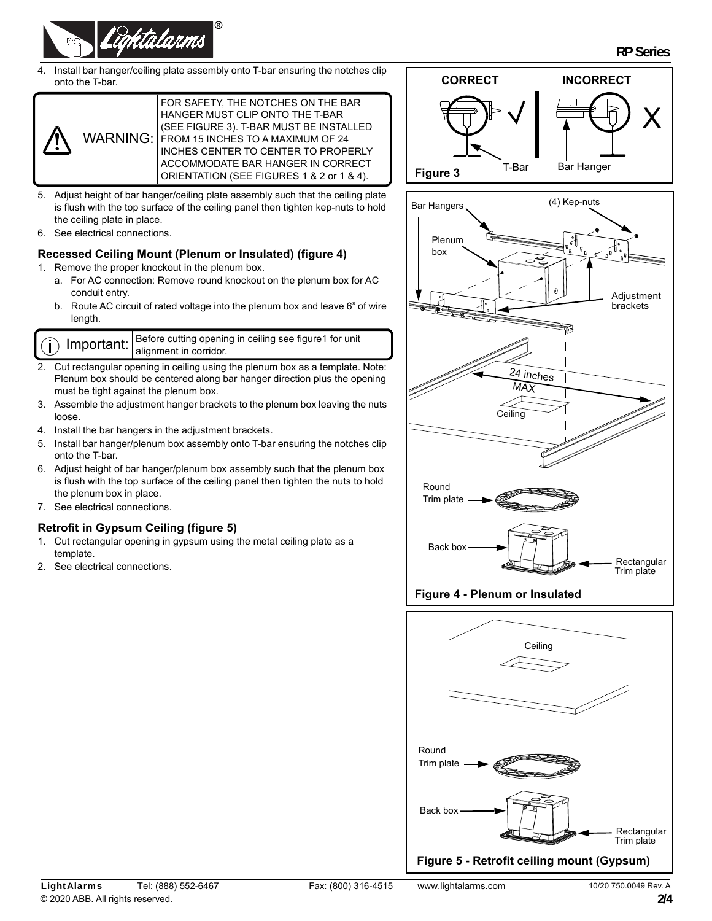

4. Install bar hanger/ceiling plate assembly onto T-bar ensuring the notches clip onto the T-bar.



- 5. Adjust height of bar hanger/ceiling plate assembly such that the ceiling plate is flush with the top surface of the ceiling panel then tighten kep-nuts to hold the ceiling plate in place.
- 6. See electrical connections.

#### **Recessed Ceiling Mount (Plenum or Insulated) (figure 4)**

1. Remove the proper knockout in the plenum box.

- a. For AC connection: Remove round knockout on the plenum box for AC conduit entry.
- b. Route AC circuit of rated voltage into the plenum box and leave 6" of wire length.



- 2. Cut rectangular opening in ceiling using the plenum box as a template. Note: Plenum box should be centered along bar hanger direction plus the opening must be tight against the plenum box.
- 3. Assemble the adjustment hanger brackets to the plenum box leaving the nuts loose.
- 4. Install the bar hangers in the adjustment brackets.
- 5. Install bar hanger/plenum box assembly onto T-bar ensuring the notches clip onto the T-bar.
- 6. Adjust height of bar hanger/plenum box assembly such that the plenum box is flush with the top surface of the ceiling panel then tighten the nuts to hold the plenum box in place.
- 7. See electrical connections.

#### **Retrofit in Gypsum Ceiling (figure 5)**

- 1. Cut rectangular opening in gypsum using the metal ceiling plate as a template.
- 2. See electrical connections.





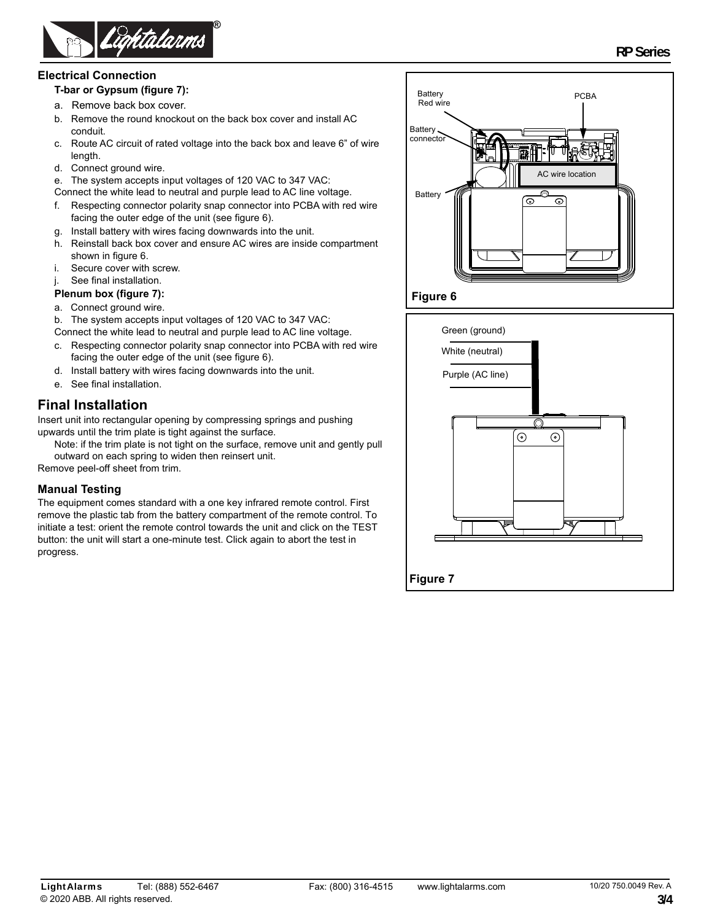

#### **Electrical Connection**

#### **T-bar or Gypsum (figure 7):**

- a. Remove back box cover.
- b. Remove the round knockout on the back box cover and install AC conduit.
- c. Route AC circuit of rated voltage into the back box and leave 6" of wire length.
- d. Connect ground wire.
- e. The system accepts input voltages of 120 VAC to 347 VAC:
- Connect the white lead to neutral and purple lead to AC line voltage.
- f. Respecting connector polarity snap connector into PCBA with red wire facing the outer edge of the unit (see figure 6).
- g. Install battery with wires facing downwards into the unit.
- h. Reinstall back box cover and ensure AC wires are inside compartment shown in figure 6.
- i. Secure cover with screw.
- j. See final installation.

#### **Plenum box (figure 7):**

- a. Connect ground wire.
- b. The system accepts input voltages of 120 VAC to 347 VAC:
- Connect the white lead to neutral and purple lead to AC line voltage.
- c. Respecting connector polarity snap connector into PCBA with red wire facing the outer edge of the unit (see figure 6).
- d. Install battery with wires facing downwards into the unit.
- e. See final installation.

### **Final Installation**

Insert unit into rectangular opening by compressing springs and pushing upwards until the trim plate is tight against the surface.

Note: if the trim plate is not tight on the surface, remove unit and gently pull outward on each spring to widen then reinsert unit.

Remove peel-off sheet from trim.

#### **Manual Testing**

The equipment comes standard with a one key infrared remote control. First remove the plastic tab from the battery compartment of the remote control. To initiate a test: orient the remote control towards the unit and click on the TEST button: the unit will start a one-minute test. Click again to abort the test in progress.